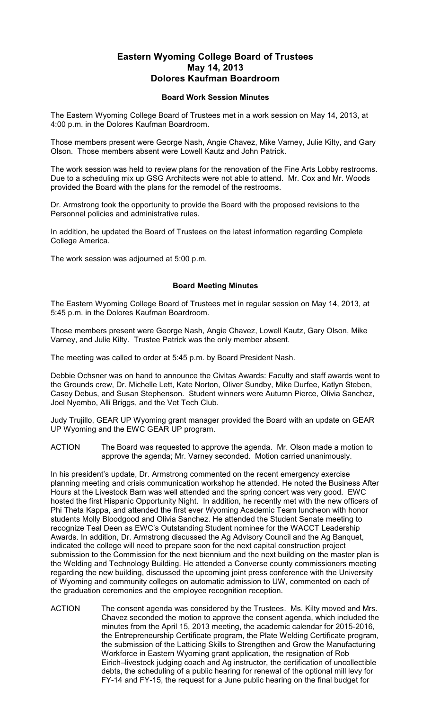## **Eastern Wyoming College Board of Trustees May 14, 2013 Dolores Kaufman Boardroom**

## **Board Work Session Minutes**

The Eastern Wyoming College Board of Trustees met in a work session on May 14, 2013, at 4:00 p.m. in the Dolores Kaufman Boardroom.

Those members present were George Nash, Angie Chavez, Mike Varney, Julie Kilty, and Gary Olson. Those members absent were Lowell Kautz and John Patrick.

The work session was held to review plans for the renovation of the Fine Arts Lobby restrooms. Due to a scheduling mix up GSG Architects were not able to attend. Mr. Cox and Mr. Woods provided the Board with the plans for the remodel of the restrooms.

Dr. Armstrong took the opportunity to provide the Board with the proposed revisions to the Personnel policies and administrative rules.

In addition, he updated the Board of Trustees on the latest information regarding Complete College America.

The work session was adjourned at 5:00 p.m.

## **Board Meeting Minutes**

The Eastern Wyoming College Board of Trustees met in regular session on May 14, 2013, at 5:45 p.m. in the Dolores Kaufman Boardroom.

Those members present were George Nash, Angie Chavez, Lowell Kautz, Gary Olson, Mike Varney, and Julie Kilty. Trustee Patrick was the only member absent.

The meeting was called to order at 5:45 p.m. by Board President Nash.

Debbie Ochsner was on hand to announce the Civitas Awards: Faculty and staff awards went to the Grounds crew, Dr. Michelle Lett, Kate Norton, Oliver Sundby, Mike Durfee, Katlyn Steben, Casey Debus, and Susan Stephenson. Student winners were Autumn Pierce, Olivia Sanchez, Joel Nyembo, Alli Briggs, and the Vet Tech Club.

Judy Trujillo, GEAR UP Wyoming grant manager provided the Board with an update on GEAR UP Wyoming and the EWC GEAR UP program.

ACTION The Board was requested to approve the agenda. Mr. Olson made a motion to approve the agenda; Mr. Varney seconded. Motion carried unanimously.

In his president's update, Dr. Armstrong commented on the recent emergency exercise planning meeting and crisis communication workshop he attended. He noted the Business After Hours at the Livestock Barn was well attended and the spring concert was very good. EWC hosted the first Hispanic Opportunity Night. In addition, he recently met with the new officers of Phi Theta Kappa, and attended the first ever Wyoming Academic Team luncheon with honor students Molly Bloodgood and Olivia Sanchez. He attended the Student Senate meeting to recognize Teal Deen as EWC's Outstanding Student nominee for the WACCT Leadership Awards. In addition, Dr. Armstrong discussed the Ag Advisory Council and the Ag Banquet, indicated the college will need to prepare soon for the next capital construction project submission to the Commission for the next biennium and the next building on the master plan is the Welding and Technology Building. He attended a Converse county commissioners meeting regarding the new building, discussed the upcoming joint press conference with the University of Wyoming and community colleges on automatic admission to UW, commented on each of the graduation ceremonies and the employee recognition reception.

ACTION The consent agenda was considered by the Trustees. Ms. Kilty moved and Mrs. Chavez seconded the motion to approve the consent agenda, which included the minutes from the April 15, 2013 meeting, the academic calendar for 2015-2016, the Entrepreneurship Certificate program, the Plate Welding Certificate program, the submission of the Latticing Skills to Strengthen and Grow the Manufacturing Workforce in Eastern Wyoming grant application, the resignation of Rob Eirich–livestock judging coach and Ag instructor, the certification of uncollectible debts, the scheduling of a public hearing for renewal of the optional mill levy for FY-14 and FY-15, the request for a June public hearing on the final budget for